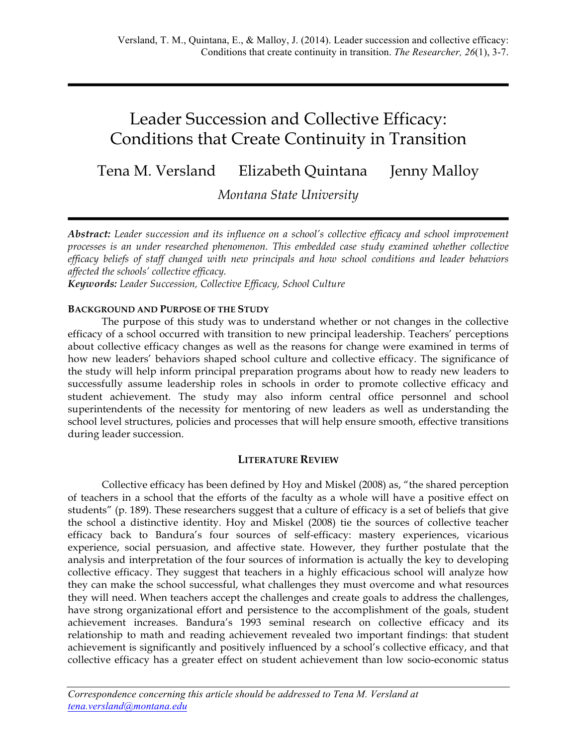# Leader Succession and Collective Efficacy: Conditions that Create Continuity in Transition

Tena M. Versland Elizabeth Quintana Jenny Malloy

*Montana State University*

*Abstract: Leader succession and its influence on a school's collective efficacy and school improvement processes is an under researched phenomenon. This embedded case study examined whether collective efficacy beliefs of staff changed with new principals and how school conditions and leader behaviors affected the schools' collective efficacy.* 

*Keywords: Leader Succession, Collective Efficacy, School Culture*

### **BACKGROUND AND PURPOSE OF THE STUDY**

The purpose of this study was to understand whether or not changes in the collective efficacy of a school occurred with transition to new principal leadership. Teachers' perceptions about collective efficacy changes as well as the reasons for change were examined in terms of how new leaders' behaviors shaped school culture and collective efficacy. The significance of the study will help inform principal preparation programs about how to ready new leaders to successfully assume leadership roles in schools in order to promote collective efficacy and student achievement. The study may also inform central office personnel and school superintendents of the necessity for mentoring of new leaders as well as understanding the school level structures, policies and processes that will help ensure smooth, effective transitions during leader succession.

## **LITERATURE REVIEW**

Collective efficacy has been defined by Hoy and Miskel (2008) as, "the shared perception of teachers in a school that the efforts of the faculty as a whole will have a positive effect on students" (p. 189). These researchers suggest that a culture of efficacy is a set of beliefs that give the school a distinctive identity. Hoy and Miskel (2008) tie the sources of collective teacher efficacy back to Bandura's four sources of self-efficacy: mastery experiences, vicarious experience, social persuasion, and affective state. However, they further postulate that the analysis and interpretation of the four sources of information is actually the key to developing collective efficacy. They suggest that teachers in a highly efficacious school will analyze how they can make the school successful, what challenges they must overcome and what resources they will need. When teachers accept the challenges and create goals to address the challenges, have strong organizational effort and persistence to the accomplishment of the goals, student achievement increases. Bandura's 1993 seminal research on collective efficacy and its relationship to math and reading achievement revealed two important findings: that student achievement is significantly and positively influenced by a school's collective efficacy, and that collective efficacy has a greater effect on student achievement than low socio-economic status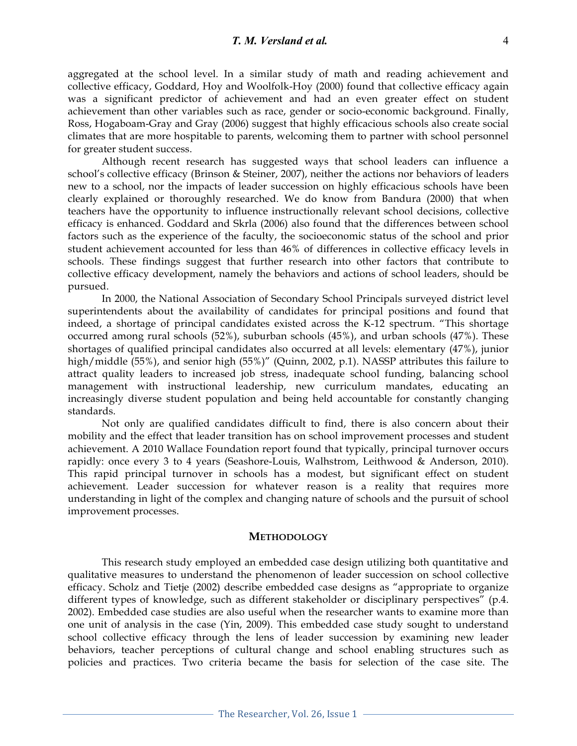aggregated at the school level. In a similar study of math and reading achievement and collective efficacy, Goddard, Hoy and Woolfolk-Hoy (2000) found that collective efficacy again was a significant predictor of achievement and had an even greater effect on student achievement than other variables such as race, gender or socio-economic background. Finally, Ross, Hogaboam-Gray and Gray (2006) suggest that highly efficacious schools also create social climates that are more hospitable to parents, welcoming them to partner with school personnel for greater student success.

Although recent research has suggested ways that school leaders can influence a school's collective efficacy (Brinson & Steiner, 2007), neither the actions nor behaviors of leaders new to a school, nor the impacts of leader succession on highly efficacious schools have been clearly explained or thoroughly researched. We do know from Bandura (2000) that when teachers have the opportunity to influence instructionally relevant school decisions, collective efficacy is enhanced. Goddard and Skrla (2006) also found that the differences between school factors such as the experience of the faculty, the socioeconomic status of the school and prior student achievement accounted for less than 46% of differences in collective efficacy levels in schools. These findings suggest that further research into other factors that contribute to collective efficacy development, namely the behaviors and actions of school leaders, should be pursued.

In 2000, the National Association of Secondary School Principals surveyed district level superintendents about the availability of candidates for principal positions and found that indeed, a shortage of principal candidates existed across the K-12 spectrum. "This shortage occurred among rural schools (52%), suburban schools (45%), and urban schools (47%). These shortages of qualified principal candidates also occurred at all levels: elementary (47%), junior high/middle (55%), and senior high (55%)" (Quinn, 2002, p.1). NASSP attributes this failure to attract quality leaders to increased job stress, inadequate school funding, balancing school management with instructional leadership, new curriculum mandates, educating an increasingly diverse student population and being held accountable for constantly changing standards.

Not only are qualified candidates difficult to find, there is also concern about their mobility and the effect that leader transition has on school improvement processes and student achievement. A 2010 Wallace Foundation report found that typically, principal turnover occurs rapidly: once every 3 to 4 years (Seashore-Louis, Walhstrom, Leithwood & Anderson, 2010). This rapid principal turnover in schools has a modest, but significant effect on student achievement. Leader succession for whatever reason is a reality that requires more understanding in light of the complex and changing nature of schools and the pursuit of school improvement processes.

#### **METHODOLOGY**

This research study employed an embedded case design utilizing both quantitative and qualitative measures to understand the phenomenon of leader succession on school collective efficacy. Scholz and Tietje (2002) describe embedded case designs as "appropriate to organize different types of knowledge, such as different stakeholder or disciplinary perspectives" (p.4. 2002). Embedded case studies are also useful when the researcher wants to examine more than one unit of analysis in the case (Yin, 2009). This embedded case study sought to understand school collective efficacy through the lens of leader succession by examining new leader behaviors, teacher perceptions of cultural change and school enabling structures such as policies and practices. Two criteria became the basis for selection of the case site. The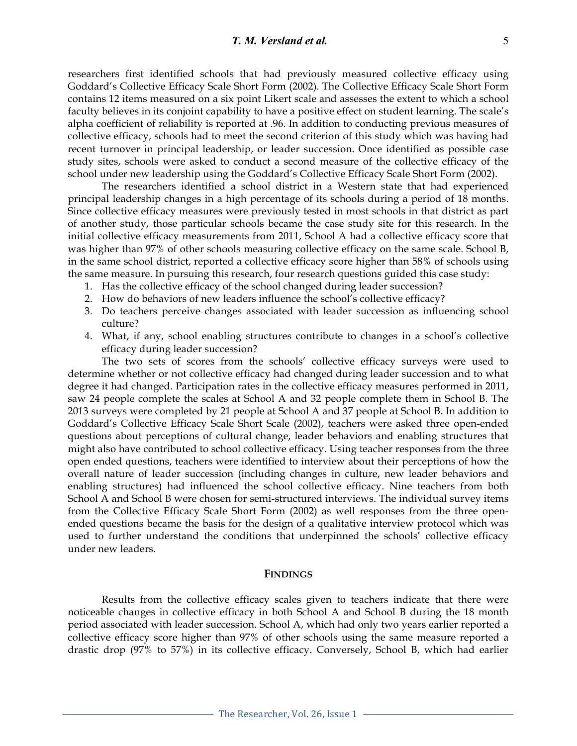researchers first identified schools that had previously measured collective efficacy using Goddard's Collective Efficacy Scale Short Form (2002). The Collective Efficacy Scale Short Form contains 12 items measured on a six point Likert scale and assesses the extent to which a school faculty believes in its conjoint capability to have a positive effect on student learning. The scale's alpha coefficient of reliability is reported at .96. In addition to conducting previous measures of collective efficacy, schools had to meet the second criterion of this study which was having had recent turnover in principal leadership, or leader succession. Once identified as possible case study sites, schools were asked to conduct a second measure of the collective efficacy of the school under new leadership using the Goddard's Collective Efficacy Scale Short Form (2002).

The researchers identified a school district in a Western state that had experienced principal leadership changes in a high percentage of its schools during a period of 18 months. Since collective efficacy measures were previously tested in most schools in that district as part of another study, those particular schools became the case study site for this research. In the initial collective efficacy measurements from 2011, School A had a collective efficacy score that was higher than 97% of other schools measuring collective efficacy on the same scale. School B, in the same school district, reported a collective efficacy score higher than 58% of schools using the same measure. In pursuing this research, four research questions guided this case study:

- 1. Has the collective efficacy of the school changed during leader succession?
- 2. How do behaviors of new leaders influence the school's collective efficacy?
- 3. Do teachers perceive changes associated with leader succession as influencing school culture?
- 4. What, if any, school enabling structures contribute to changes in a school's collective efficacy during leader succession?

The two sets of scores from the schools' collective efficacy surveys were used to determine whether or not collective efficacy had changed during leader succession and to what degree it had changed. Participation rates in the collective efficacy measures performed in 2011, saw 24 people complete the scales at School A and 32 people complete them in School B. The 2013 surveys were completed by 21 people at School A and 37 people at School B. In addition to Goddard's Collective Efficacy Scale Short Scale (2002), teachers were asked three open-ended questions about perceptions of cultural change, leader behaviors and enabling structures that might also have contributed to school collective efficacy. Using teacher responses from the three open ended questions, teachers were identified to interview about their perceptions of how the overall nature of leader succession (including changes in culture, new leader behaviors and enabling structures) had influenced the school collective efficacy. Nine teachers from both School A and School B were chosen for semi-structured interviews. The individual survey items from the Collective Efficacy Scale Short Form (2002) as well responses from the three openended questions became the basis for the design of a qualitative interview protocol which was used to further understand the conditions that underpinned the schools' collective efficacy under new leaders.

#### **FINDINGS**

Results from the collective efficacy scales given to teachers indicate that there were noticeable changes in collective efficacy in both School A and School B during the 18 month period associated with leader succession. School A, which had only two years earlier reported a collective efficacy score higher than 97% of other schools using the same measure reported a drastic drop (97% to 57%) in its collective efficacy. Conversely, School B, which had earlier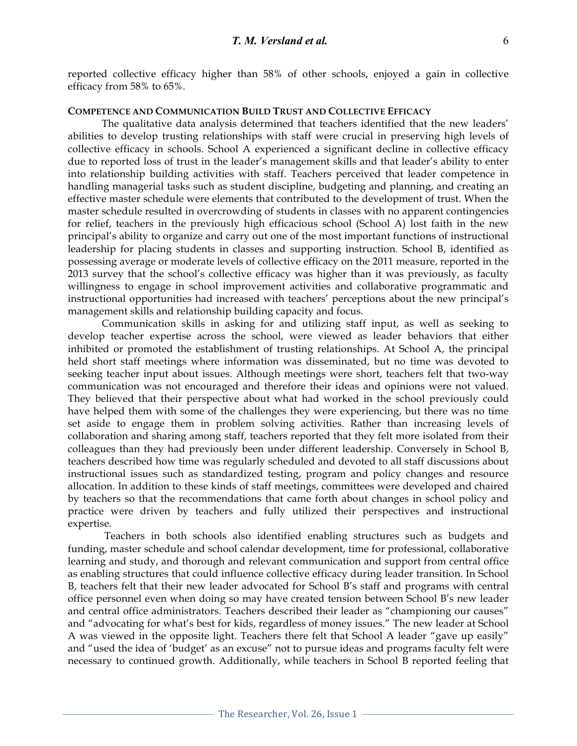reported collective efficacy higher than 58% of other schools, enjoyed a gain in collective efficacy from 58% to 65%.

#### **COMPETENCE AND COMMUNICATION BUILD TRUST AND COLLECTIVE EFFICACY**

The qualitative data analysis determined that teachers identified that the new leaders' abilities to develop trusting relationships with staff were crucial in preserving high levels of collective efficacy in schools. School A experienced a significant decline in collective efficacy due to reported loss of trust in the leader's management skills and that leader's ability to enter into relationship building activities with staff. Teachers perceived that leader competence in handling managerial tasks such as student discipline, budgeting and planning, and creating an effective master schedule were elements that contributed to the development of trust. When the master schedule resulted in overcrowding of students in classes with no apparent contingencies for relief, teachers in the previously high efficacious school (School A) lost faith in the new principal's ability to organize and carry out one of the most important functions of instructional leadership for placing students in classes and supporting instruction. School B, identified as possessing average or moderate levels of collective efficacy on the 2011 measure, reported in the 2013 survey that the school's collective efficacy was higher than it was previously, as faculty willingness to engage in school improvement activities and collaborative programmatic and instructional opportunities had increased with teachers' perceptions about the new principal's management skills and relationship building capacity and focus.

Communication skills in asking for and utilizing staff input, as well as seeking to develop teacher expertise across the school, were viewed as leader behaviors that either inhibited or promoted the establishment of trusting relationships. At School A, the principal held short staff meetings where information was disseminated, but no time was devoted to seeking teacher input about issues. Although meetings were short, teachers felt that two-way communication was not encouraged and therefore their ideas and opinions were not valued. They believed that their perspective about what had worked in the school previously could have helped them with some of the challenges they were experiencing, but there was no time set aside to engage them in problem solving activities. Rather than increasing levels of collaboration and sharing among staff, teachers reported that they felt more isolated from their colleagues than they had previously been under different leadership. Conversely in School B, teachers described how time was regularly scheduled and devoted to all staff discussions about instructional issues such as standardized testing, program and policy changes and resource allocation. In addition to these kinds of staff meetings, committees were developed and chaired by teachers so that the recommendations that came forth about changes in school policy and practice were driven by teachers and fully utilized their perspectives and instructional expertise.

Teachers in both schools also identified enabling structures such as budgets and funding, master schedule and school calendar development, time for professional, collaborative learning and study, and thorough and relevant communication and support from central office as enabling structures that could influence collective efficacy during leader transition. In School B, teachers felt that their new leader advocated for School B's staff and programs with central office personnel even when doing so may have created tension between School B's new leader and central office administrators. Teachers described their leader as "championing our causes" and "advocating for what's best for kids, regardless of money issues." The new leader at School A was viewed in the opposite light. Teachers there felt that School A leader "gave up easily" and "used the idea of 'budget' as an excuse" not to pursue ideas and programs faculty felt were necessary to continued growth. Additionally, while teachers in School B reported feeling that